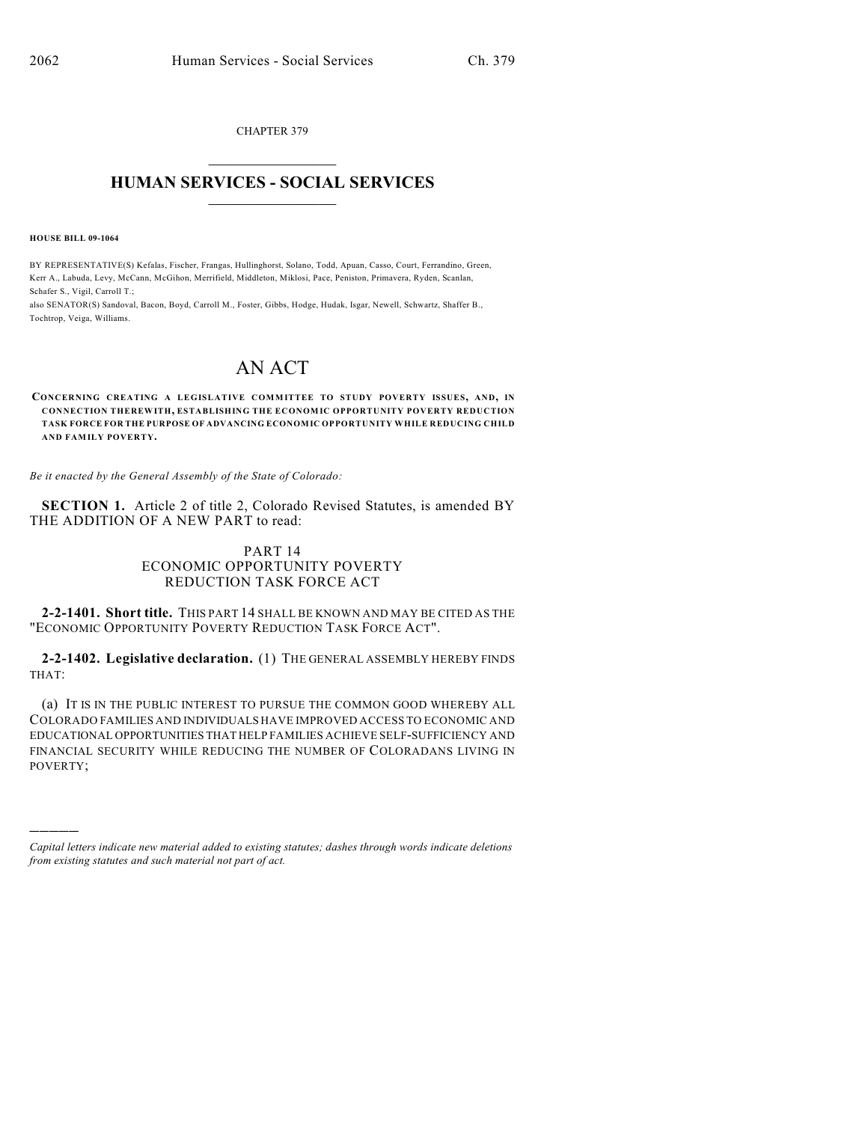CHAPTER 379  $\mathcal{L}_\text{max}$  . The set of the set of the set of the set of the set of the set of the set of the set of the set of the set of the set of the set of the set of the set of the set of the set of the set of the set of the set

## **HUMAN SERVICES - SOCIAL SERVICES**  $\frac{1}{2}$  ,  $\frac{1}{2}$  ,  $\frac{1}{2}$  ,  $\frac{1}{2}$  ,  $\frac{1}{2}$  ,  $\frac{1}{2}$  ,  $\frac{1}{2}$

**HOUSE BILL 09-1064**

)))))

BY REPRESENTATIVE(S) Kefalas, Fischer, Frangas, Hullinghorst, Solano, Todd, Apuan, Casso, Court, Ferrandino, Green, Kerr A., Labuda, Levy, McCann, McGihon, Merrifield, Middleton, Miklosi, Pace, Peniston, Primavera, Ryden, Scanlan, Schafer S., Vigil, Carroll T.;

also SENATOR(S) Sandoval, Bacon, Boyd, Carroll M., Foster, Gibbs, Hodge, Hudak, Isgar, Newell, Schwartz, Shaffer B., Tochtrop, Veiga, Williams.

## AN ACT

**CONCERNING CREATING A LEGISLATIVE COMMITTEE TO STUDY POVERTY ISSUES, AND, IN CONNECTION THEREWITH, ESTABLISHING THE ECONOMIC OPPORTUNITY POVERTY REDUCTION TASK FORCE FOR THE PURPOSE OF ADVANCING ECONOMIC OPPORTUNITY WHILE REDUCING CHILD AND FAMILY POVERTY.**

*Be it enacted by the General Assembly of the State of Colorado:*

**SECTION 1.** Article 2 of title 2, Colorado Revised Statutes, is amended BY THE ADDITION OF A NEW PART to read:

## PART 14 ECONOMIC OPPORTUNITY POVERTY REDUCTION TASK FORCE ACT

**2-2-1401. Short title.** THIS PART 14 SHALL BE KNOWN AND MAY BE CITED AS THE "ECONOMIC OPPORTUNITY POVERTY REDUCTION TASK FORCE ACT".

**2-2-1402. Legislative declaration.** (1) THE GENERAL ASSEMBLY HEREBY FINDS THAT:

(a) IT IS IN THE PUBLIC INTEREST TO PURSUE THE COMMON GOOD WHEREBY ALL COLORADO FAMILIES AND INDIVIDUALS HAVE IMPROVED ACCESS TO ECONOMIC AND EDUCATIONAL OPPORTUNITIES THAT HELP FAMILIES ACHIEVE SELF-SUFFICIENCY AND FINANCIAL SECURITY WHILE REDUCING THE NUMBER OF COLORADANS LIVING IN POVERTY;

*Capital letters indicate new material added to existing statutes; dashes through words indicate deletions from existing statutes and such material not part of act.*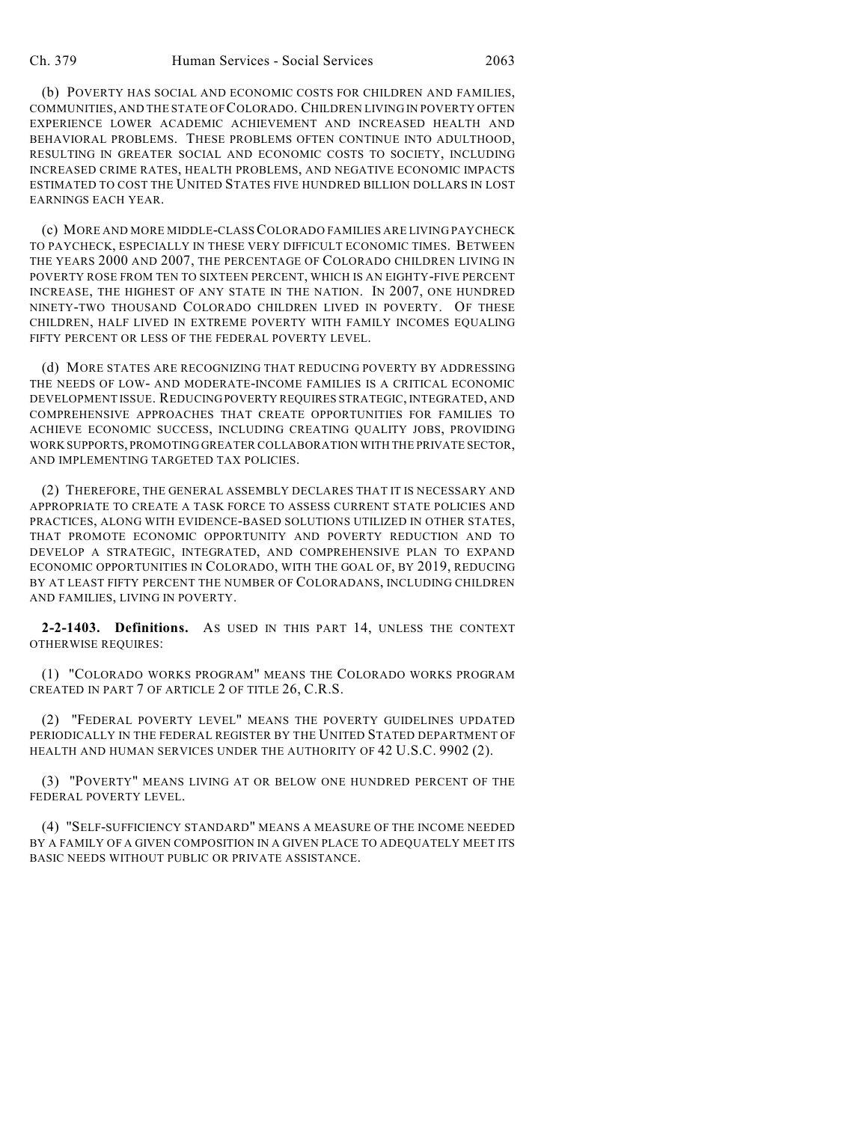(b) POVERTY HAS SOCIAL AND ECONOMIC COSTS FOR CHILDREN AND FAMILIES, COMMUNITIES, AND THE STATE OF COLORADO. CHILDREN LIVING IN POVERTY OFTEN EXPERIENCE LOWER ACADEMIC ACHIEVEMENT AND INCREASED HEALTH AND BEHAVIORAL PROBLEMS. THESE PROBLEMS OFTEN CONTINUE INTO ADULTHOOD, RESULTING IN GREATER SOCIAL AND ECONOMIC COSTS TO SOCIETY, INCLUDING INCREASED CRIME RATES, HEALTH PROBLEMS, AND NEGATIVE ECONOMIC IMPACTS ESTIMATED TO COST THE UNITED STATES FIVE HUNDRED BILLION DOLLARS IN LOST EARNINGS EACH YEAR.

(c) MORE AND MORE MIDDLE-CLASS COLORADO FAMILIES ARE LIVING PAYCHECK TO PAYCHECK, ESPECIALLY IN THESE VERY DIFFICULT ECONOMIC TIMES. BETWEEN THE YEARS 2000 AND 2007, THE PERCENTAGE OF COLORADO CHILDREN LIVING IN POVERTY ROSE FROM TEN TO SIXTEEN PERCENT, WHICH IS AN EIGHTY-FIVE PERCENT INCREASE, THE HIGHEST OF ANY STATE IN THE NATION. IN 2007, ONE HUNDRED NINETY-TWO THOUSAND COLORADO CHILDREN LIVED IN POVERTY. OF THESE CHILDREN, HALF LIVED IN EXTREME POVERTY WITH FAMILY INCOMES EQUALING FIFTY PERCENT OR LESS OF THE FEDERAL POVERTY LEVEL.

(d) MORE STATES ARE RECOGNIZING THAT REDUCING POVERTY BY ADDRESSING THE NEEDS OF LOW- AND MODERATE-INCOME FAMILIES IS A CRITICAL ECONOMIC DEVELOPMENT ISSUE. REDUCING POVERTY REQUIRES STRATEGIC, INTEGRATED, AND COMPREHENSIVE APPROACHES THAT CREATE OPPORTUNITIES FOR FAMILIES TO ACHIEVE ECONOMIC SUCCESS, INCLUDING CREATING QUALITY JOBS, PROVIDING WORK SUPPORTS, PROMOTING GREATER COLLABORATION WITH THE PRIVATE SECTOR, AND IMPLEMENTING TARGETED TAX POLICIES.

(2) THEREFORE, THE GENERAL ASSEMBLY DECLARES THAT IT IS NECESSARY AND APPROPRIATE TO CREATE A TASK FORCE TO ASSESS CURRENT STATE POLICIES AND PRACTICES, ALONG WITH EVIDENCE-BASED SOLUTIONS UTILIZED IN OTHER STATES, THAT PROMOTE ECONOMIC OPPORTUNITY AND POVERTY REDUCTION AND TO DEVELOP A STRATEGIC, INTEGRATED, AND COMPREHENSIVE PLAN TO EXPAND ECONOMIC OPPORTUNITIES IN COLORADO, WITH THE GOAL OF, BY 2019, REDUCING BY AT LEAST FIFTY PERCENT THE NUMBER OF COLORADANS, INCLUDING CHILDREN AND FAMILIES, LIVING IN POVERTY.

**2-2-1403. Definitions.** AS USED IN THIS PART 14, UNLESS THE CONTEXT OTHERWISE REQUIRES:

(1) "COLORADO WORKS PROGRAM" MEANS THE COLORADO WORKS PROGRAM CREATED IN PART 7 OF ARTICLE 2 OF TITLE 26, C.R.S.

(2) "FEDERAL POVERTY LEVEL" MEANS THE POVERTY GUIDELINES UPDATED PERIODICALLY IN THE FEDERAL REGISTER BY THE UNITED STATED DEPARTMENT OF HEALTH AND HUMAN SERVICES UNDER THE AUTHORITY OF 42 U.S.C. 9902 (2).

(3) "POVERTY" MEANS LIVING AT OR BELOW ONE HUNDRED PERCENT OF THE FEDERAL POVERTY LEVEL.

(4) "SELF-SUFFICIENCY STANDARD" MEANS A MEASURE OF THE INCOME NEEDED BY A FAMILY OF A GIVEN COMPOSITION IN A GIVEN PLACE TO ADEQUATELY MEET ITS BASIC NEEDS WITHOUT PUBLIC OR PRIVATE ASSISTANCE.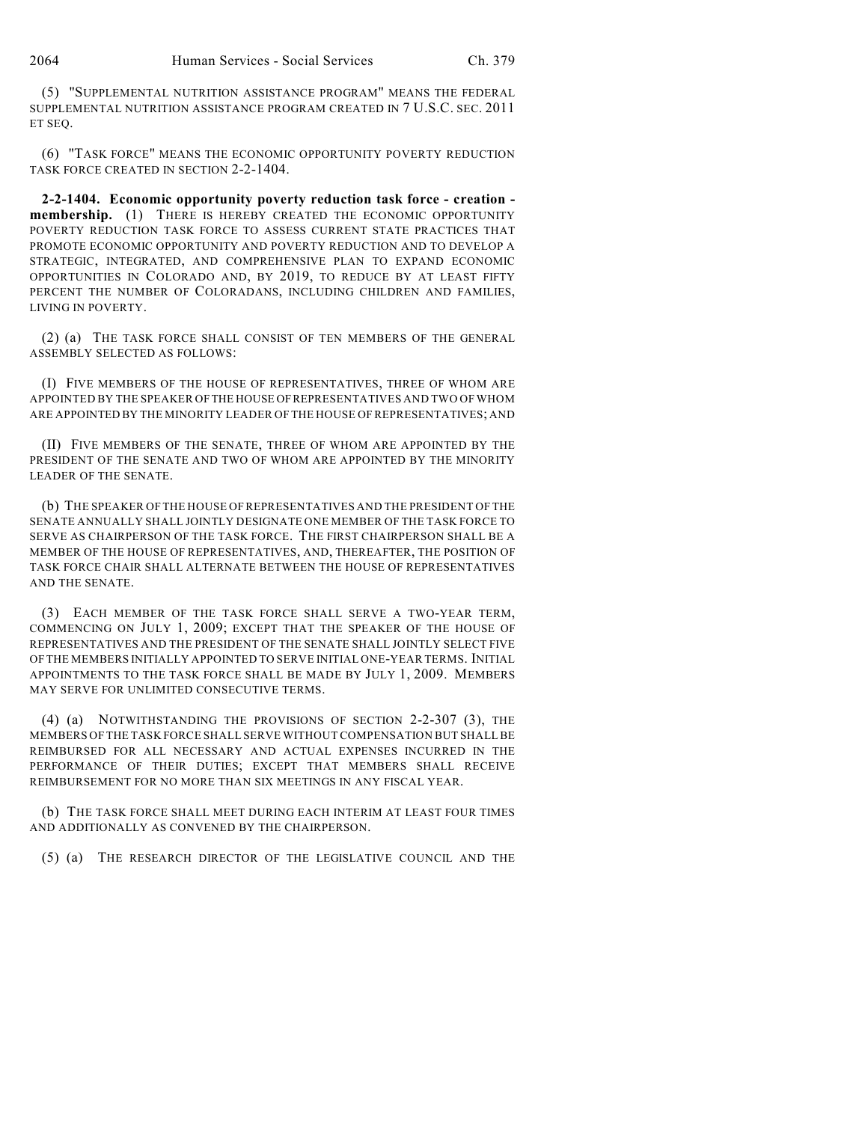(5) "SUPPLEMENTAL NUTRITION ASSISTANCE PROGRAM" MEANS THE FEDERAL SUPPLEMENTAL NUTRITION ASSISTANCE PROGRAM CREATED IN 7 U.S.C. SEC. 2011 ET SEQ.

(6) "TASK FORCE" MEANS THE ECONOMIC OPPORTUNITY POVERTY REDUCTION TASK FORCE CREATED IN SECTION 2-2-1404.

**2-2-1404. Economic opportunity poverty reduction task force - creation membership.** (1) THERE IS HEREBY CREATED THE ECONOMIC OPPORTUNITY POVERTY REDUCTION TASK FORCE TO ASSESS CURRENT STATE PRACTICES THAT PROMOTE ECONOMIC OPPORTUNITY AND POVERTY REDUCTION AND TO DEVELOP A STRATEGIC, INTEGRATED, AND COMPREHENSIVE PLAN TO EXPAND ECONOMIC OPPORTUNITIES IN COLORADO AND, BY 2019, TO REDUCE BY AT LEAST FIFTY PERCENT THE NUMBER OF COLORADANS, INCLUDING CHILDREN AND FAMILIES, LIVING IN POVERTY.

(2) (a) THE TASK FORCE SHALL CONSIST OF TEN MEMBERS OF THE GENERAL ASSEMBLY SELECTED AS FOLLOWS:

(I) FIVE MEMBERS OF THE HOUSE OF REPRESENTATIVES, THREE OF WHOM ARE APPOINTED BY THE SPEAKER OF THE HOUSE OF REPRESENTATIVES AND TWO OF WHOM ARE APPOINTED BY THE MINORITY LEADER OF THE HOUSE OF REPRESENTATIVES; AND

(II) FIVE MEMBERS OF THE SENATE, THREE OF WHOM ARE APPOINTED BY THE PRESIDENT OF THE SENATE AND TWO OF WHOM ARE APPOINTED BY THE MINORITY LEADER OF THE SENATE.

(b) THE SPEAKER OFTHE HOUSE OFREPRESENTATIVES AND THE PRESIDENT OF THE SENATE ANNUALLY SHALL JOINTLY DESIGNATE ONE MEMBER OF THE TASK FORCE TO SERVE AS CHAIRPERSON OF THE TASK FORCE. THE FIRST CHAIRPERSON SHALL BE A MEMBER OF THE HOUSE OF REPRESENTATIVES, AND, THEREAFTER, THE POSITION OF TASK FORCE CHAIR SHALL ALTERNATE BETWEEN THE HOUSE OF REPRESENTATIVES AND THE SENATE.

(3) EACH MEMBER OF THE TASK FORCE SHALL SERVE A TWO-YEAR TERM, COMMENCING ON JULY 1, 2009; EXCEPT THAT THE SPEAKER OF THE HOUSE OF REPRESENTATIVES AND THE PRESIDENT OF THE SENATE SHALL JOINTLY SELECT FIVE OF THE MEMBERS INITIALLY APPOINTED TO SERVE INITIAL ONE-YEAR TERMS. INITIAL APPOINTMENTS TO THE TASK FORCE SHALL BE MADE BY JULY 1, 2009. MEMBERS MAY SERVE FOR UNLIMITED CONSECUTIVE TERMS.

(4) (a) NOTWITHSTANDING THE PROVISIONS OF SECTION 2-2-307 (3), THE MEMBERS OF THE TASK FORCE SHALL SERVE WITHOUT COMPENSATION BUT SHALL BE REIMBURSED FOR ALL NECESSARY AND ACTUAL EXPENSES INCURRED IN THE PERFORMANCE OF THEIR DUTIES; EXCEPT THAT MEMBERS SHALL RECEIVE REIMBURSEMENT FOR NO MORE THAN SIX MEETINGS IN ANY FISCAL YEAR.

(b) THE TASK FORCE SHALL MEET DURING EACH INTERIM AT LEAST FOUR TIMES AND ADDITIONALLY AS CONVENED BY THE CHAIRPERSON.

(5) (a) THE RESEARCH DIRECTOR OF THE LEGISLATIVE COUNCIL AND THE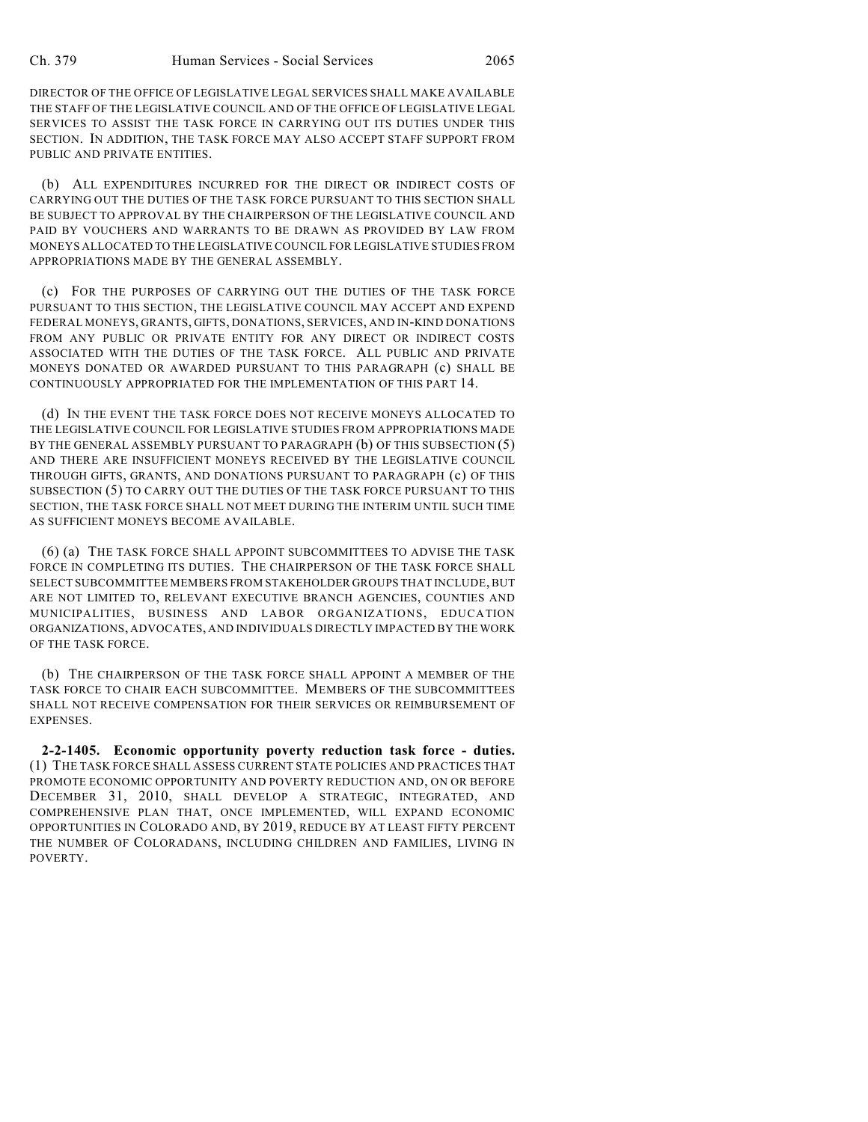DIRECTOR OF THE OFFICE OF LEGISLATIVE LEGAL SERVICES SHALL MAKE AVAILABLE THE STAFF OF THE LEGISLATIVE COUNCIL AND OF THE OFFICE OF LEGISLATIVE LEGAL SERVICES TO ASSIST THE TASK FORCE IN CARRYING OUT ITS DUTIES UNDER THIS SECTION. IN ADDITION, THE TASK FORCE MAY ALSO ACCEPT STAFF SUPPORT FROM PUBLIC AND PRIVATE ENTITIES.

(b) ALL EXPENDITURES INCURRED FOR THE DIRECT OR INDIRECT COSTS OF CARRYING OUT THE DUTIES OF THE TASK FORCE PURSUANT TO THIS SECTION SHALL BE SUBJECT TO APPROVAL BY THE CHAIRPERSON OF THE LEGISLATIVE COUNCIL AND PAID BY VOUCHERS AND WARRANTS TO BE DRAWN AS PROVIDED BY LAW FROM MONEYS ALLOCATED TO THE LEGISLATIVE COUNCIL FOR LEGISLATIVE STUDIES FROM APPROPRIATIONS MADE BY THE GENERAL ASSEMBLY.

(c) FOR THE PURPOSES OF CARRYING OUT THE DUTIES OF THE TASK FORCE PURSUANT TO THIS SECTION, THE LEGISLATIVE COUNCIL MAY ACCEPT AND EXPEND FEDERAL MONEYS, GRANTS, GIFTS, DONATIONS, SERVICES, AND IN-KIND DONATIONS FROM ANY PUBLIC OR PRIVATE ENTITY FOR ANY DIRECT OR INDIRECT COSTS ASSOCIATED WITH THE DUTIES OF THE TASK FORCE. ALL PUBLIC AND PRIVATE MONEYS DONATED OR AWARDED PURSUANT TO THIS PARAGRAPH (c) SHALL BE CONTINUOUSLY APPROPRIATED FOR THE IMPLEMENTATION OF THIS PART 14.

(d) IN THE EVENT THE TASK FORCE DOES NOT RECEIVE MONEYS ALLOCATED TO THE LEGISLATIVE COUNCIL FOR LEGISLATIVE STUDIES FROM APPROPRIATIONS MADE BY THE GENERAL ASSEMBLY PURSUANT TO PARAGRAPH (b) OF THIS SUBSECTION (5) AND THERE ARE INSUFFICIENT MONEYS RECEIVED BY THE LEGISLATIVE COUNCIL THROUGH GIFTS, GRANTS, AND DONATIONS PURSUANT TO PARAGRAPH (c) OF THIS SUBSECTION (5) TO CARRY OUT THE DUTIES OF THE TASK FORCE PURSUANT TO THIS SECTION, THE TASK FORCE SHALL NOT MEET DURING THE INTERIM UNTIL SUCH TIME AS SUFFICIENT MONEYS BECOME AVAILABLE.

(6) (a) THE TASK FORCE SHALL APPOINT SUBCOMMITTEES TO ADVISE THE TASK FORCE IN COMPLETING ITS DUTIES. THE CHAIRPERSON OF THE TASK FORCE SHALL SELECT SUBCOMMITTEE MEMBERS FROM STAKEHOLDER GROUPS THAT INCLUDE, BUT ARE NOT LIMITED TO, RELEVANT EXECUTIVE BRANCH AGENCIES, COUNTIES AND MUNICIPALITIES, BUSINESS AND LABOR ORGANIZATIONS, EDUCATION ORGANIZATIONS, ADVOCATES, AND INDIVIDUALS DIRECTLY IMPACTED BY THE WORK OF THE TASK FORCE.

(b) THE CHAIRPERSON OF THE TASK FORCE SHALL APPOINT A MEMBER OF THE TASK FORCE TO CHAIR EACH SUBCOMMITTEE. MEMBERS OF THE SUBCOMMITTEES SHALL NOT RECEIVE COMPENSATION FOR THEIR SERVICES OR REIMBURSEMENT OF EXPENSES.

**2-2-1405. Economic opportunity poverty reduction task force - duties.** (1) THE TASK FORCE SHALL ASSESS CURRENT STATE POLICIES AND PRACTICES THAT PROMOTE ECONOMIC OPPORTUNITY AND POVERTY REDUCTION AND, ON OR BEFORE DECEMBER 31, 2010, SHALL DEVELOP A STRATEGIC, INTEGRATED, AND COMPREHENSIVE PLAN THAT, ONCE IMPLEMENTED, WILL EXPAND ECONOMIC OPPORTUNITIES IN COLORADO AND, BY 2019, REDUCE BY AT LEAST FIFTY PERCENT THE NUMBER OF COLORADANS, INCLUDING CHILDREN AND FAMILIES, LIVING IN POVERTY.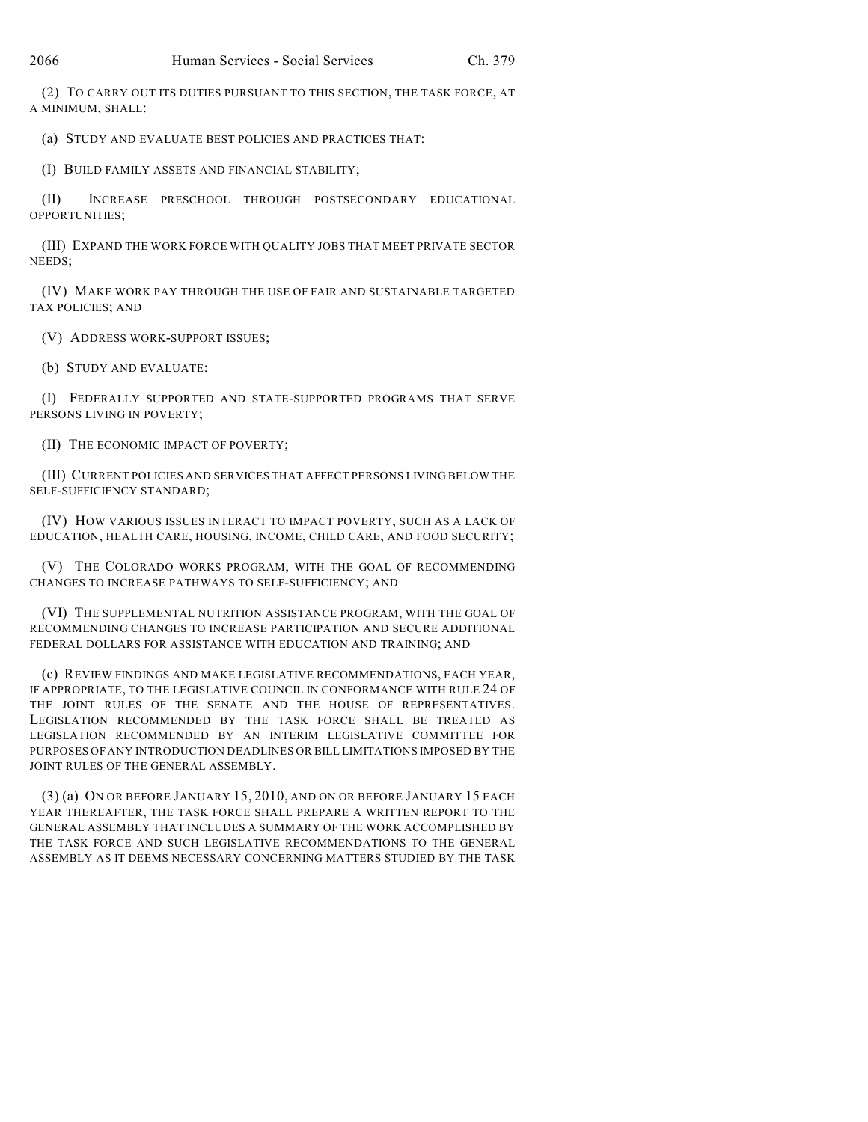(2) TO CARRY OUT ITS DUTIES PURSUANT TO THIS SECTION, THE TASK FORCE, AT A MINIMUM, SHALL:

(a) STUDY AND EVALUATE BEST POLICIES AND PRACTICES THAT:

(I) BUILD FAMILY ASSETS AND FINANCIAL STABILITY;

(II) INCREASE PRESCHOOL THROUGH POSTSECONDARY EDUCATIONAL OPPORTUNITIES;

(III) EXPAND THE WORK FORCE WITH QUALITY JOBS THAT MEET PRIVATE SECTOR NEEDS;

(IV) MAKE WORK PAY THROUGH THE USE OF FAIR AND SUSTAINABLE TARGETED TAX POLICIES; AND

(V) ADDRESS WORK-SUPPORT ISSUES;

(b) STUDY AND EVALUATE:

(I) FEDERALLY SUPPORTED AND STATE-SUPPORTED PROGRAMS THAT SERVE PERSONS LIVING IN POVERTY;

(II) THE ECONOMIC IMPACT OF POVERTY;

(III) CURRENT POLICIES AND SERVICES THAT AFFECT PERSONS LIVING BELOW THE SELF-SUFFICIENCY STANDARD;

(IV) HOW VARIOUS ISSUES INTERACT TO IMPACT POVERTY, SUCH AS A LACK OF EDUCATION, HEALTH CARE, HOUSING, INCOME, CHILD CARE, AND FOOD SECURITY;

(V) THE COLORADO WORKS PROGRAM, WITH THE GOAL OF RECOMMENDING CHANGES TO INCREASE PATHWAYS TO SELF-SUFFICIENCY; AND

(VI) THE SUPPLEMENTAL NUTRITION ASSISTANCE PROGRAM, WITH THE GOAL OF RECOMMENDING CHANGES TO INCREASE PARTICIPATION AND SECURE ADDITIONAL FEDERAL DOLLARS FOR ASSISTANCE WITH EDUCATION AND TRAINING; AND

(c) REVIEW FINDINGS AND MAKE LEGISLATIVE RECOMMENDATIONS, EACH YEAR, IF APPROPRIATE, TO THE LEGISLATIVE COUNCIL IN CONFORMANCE WITH RULE 24 OF THE JOINT RULES OF THE SENATE AND THE HOUSE OF REPRESENTATIVES. LEGISLATION RECOMMENDED BY THE TASK FORCE SHALL BE TREATED AS LEGISLATION RECOMMENDED BY AN INTERIM LEGISLATIVE COMMITTEE FOR PURPOSES OF ANY INTRODUCTION DEADLINES OR BILL LIMITATIONS IMPOSED BY THE JOINT RULES OF THE GENERAL ASSEMBLY.

(3) (a) ON OR BEFORE JANUARY 15, 2010, AND ON OR BEFORE JANUARY 15 EACH YEAR THEREAFTER, THE TASK FORCE SHALL PREPARE A WRITTEN REPORT TO THE GENERAL ASSEMBLY THAT INCLUDES A SUMMARY OF THE WORK ACCOMPLISHED BY THE TASK FORCE AND SUCH LEGISLATIVE RECOMMENDATIONS TO THE GENERAL ASSEMBLY AS IT DEEMS NECESSARY CONCERNING MATTERS STUDIED BY THE TASK